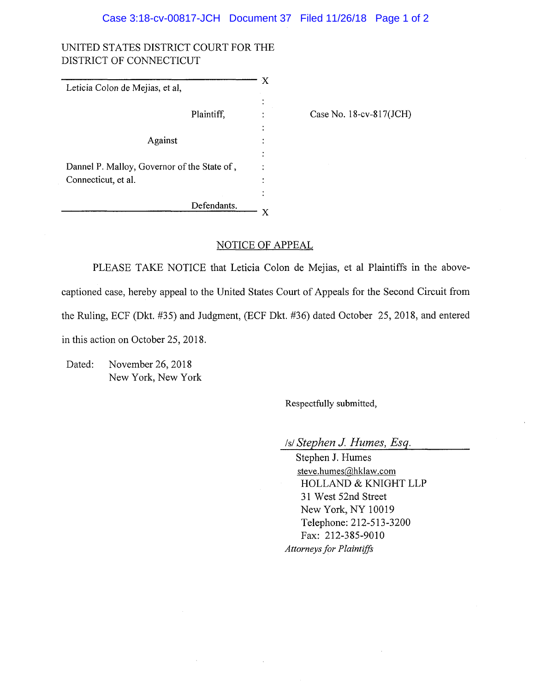## Case 3:18-cv-00817-JCH Document 37 Filed 11/26/18 Page 1 of 2

## UNITED STATES DISTRICT COURT FOR THE DISTRICT OF CONNECTICUT

| Leticia Colon de Mejias, et al,             | ·X     |                                |
|---------------------------------------------|--------|--------------------------------|
|                                             |        |                                |
| Plaintiff,                                  |        | Case No. $18$ -cv- $817$ (JCH) |
|                                             | ٠<br>٠ |                                |
| Against                                     |        |                                |
|                                             |        |                                |
| Dannel P. Malloy, Governor of the State of, |        |                                |
| Connecticut, et al.                         |        |                                |
|                                             |        |                                |
| Defendants.                                 |        |                                |
|                                             |        |                                |

## NOTICE OF APPEAL

PLEASE TAKE NOTICE that Leticia Colon de Mejias, et al Plaintiffs in the abovecaptioned case, hereby appeal to the United States Court of Appeals for the Second Circuit from the Ruling, ECF (Dkt. #35) and Judgment, (ECF Dkt. #36) dated October 25, 2018, and entered in this action on October 25, 2018.

Dated: November 26, 2018 New York, New York

Respectfully submitted,

/s/ *Stephen J. Humes, Esq.*

Stephen J. Humes [steve.humes@hklaw.com](mailto:steve.humes@hklaw.com) HOLLAND & KNIGHT LLP 31 West 52nd Street New York, NY 10019 Telephone: 212-513-3200 Fax: 212-385-9010 *Attorneysfor Plaintiffs*